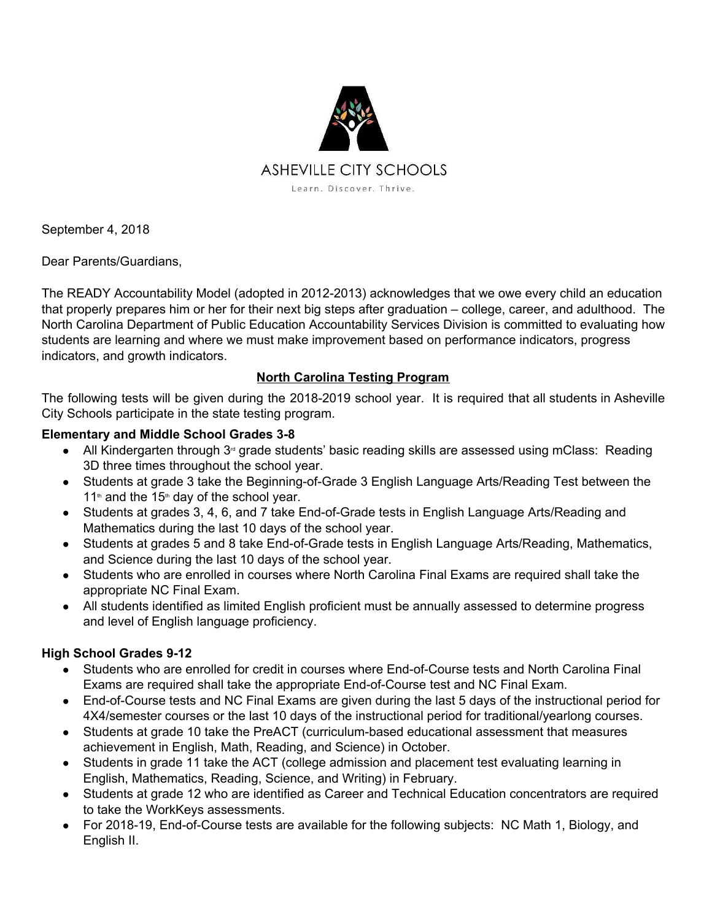

September 4, 2018

Dear Parents/Guardians,

The READY Accountability Model (adopted in 2012-2013) acknowledges that we owe every child an education that properly prepares him or her for their next big steps after graduation – college, career, and adulthood. The North Carolina Department of Public Education Accountability Services Division is committed to evaluating how students are learning and where we must make improvement based on performance indicators, progress indicators, and growth indicators.

### **North Carolina Testing Program**

The following tests will be given during the 2018-2019 school year. It is required that all students in Asheville City Schools participate in the state testing program.

### **Elementary and Middle School Grades 3-8**

- $\bullet$  All Kindergarten through 3<sup> $d$ </sup> grade students' basic reading skills are assessed using mClass: Reading 3D three times throughout the school year.
- Students at grade 3 take the Beginning-of-Grade 3 English Language Arts/Reading Test between the  $11<sup>th</sup>$  and the 15<sup>th</sup> day of the school year.
- Students at grades 3, 4, 6, and 7 take End-of-Grade tests in English Language Arts/Reading and Mathematics during the last 10 days of the school year.
- Students at grades 5 and 8 take End-of-Grade tests in English Language Arts/Reading, Mathematics, and Science during the last 10 days of the school year.
- Students who are enrolled in courses where North Carolina Final Exams are required shall take the appropriate NC Final Exam.
- All students identified as limited English proficient must be annually assessed to determine progress and level of English language proficiency.

# **High School Grades 9-12**

- Students who are enrolled for credit in courses where End-of-Course tests and North Carolina Final Exams are required shall take the appropriate End-of-Course test and NC Final Exam.
- End-of-Course tests and NC Final Exams are given during the last 5 days of the instructional period for 4X4/semester courses or the last 10 days of the instructional period for traditional/yearlong courses.
- Students at grade 10 take the PreACT (curriculum-based educational assessment that measures achievement in English, Math, Reading, and Science) in October.
- Students in grade 11 take the ACT (college admission and placement test evaluating learning in English, Mathematics, Reading, Science, and Writing) in February.
- Students at grade 12 who are identified as Career and Technical Education concentrators are required to take the WorkKeys assessments.
- For 2018-19, End-of-Course tests are available for the following subjects: NC Math 1, Biology, and English II.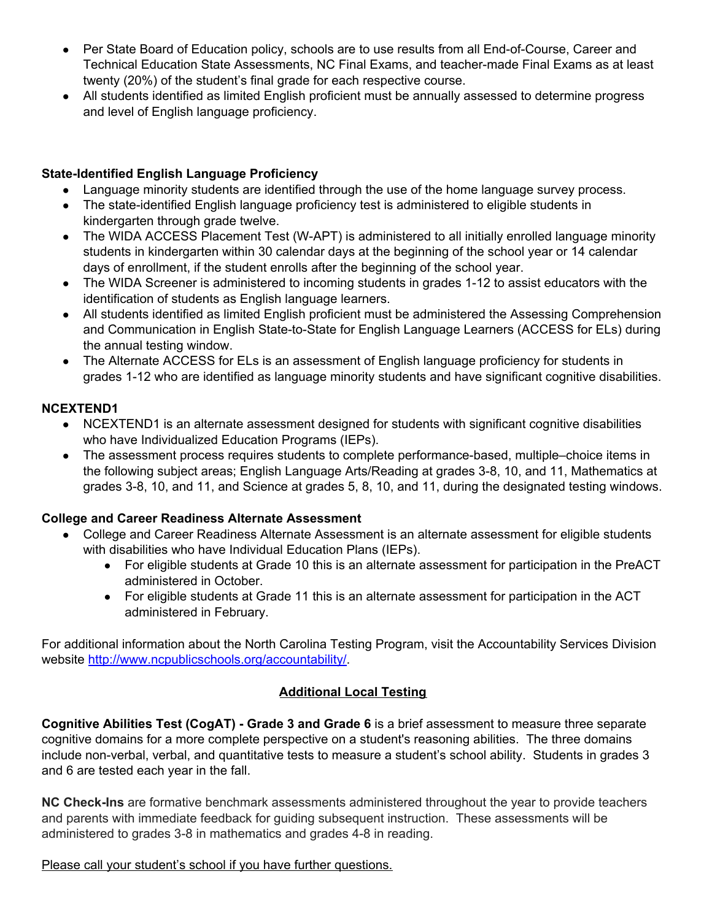- Per State Board of Education policy, schools are to use results from all End-of-Course, Career and Technical Education State Assessments, NC Final Exams, and teacher-made Final Exams as at least twenty (20%) of the student's final grade for each respective course.
- All students identified as limited English proficient must be annually assessed to determine progress and level of English language proficiency.

# **State-Identified English Language Proficiency**

- Language minority students are identified through the use of the home language survey process.
- The state-identified English language proficiency test is administered to eligible students in kindergarten through grade twelve.
- The WIDA ACCESS Placement Test (W-APT) is administered to all initially enrolled language minority students in kindergarten within 30 calendar days at the beginning of the school year or 14 calendar days of enrollment, if the student enrolls after the beginning of the school year.
- The WIDA Screener is administered to incoming students in grades 1-12 to assist educators with the identification of students as English language learners.
- All students identified as limited English proficient must be administered the Assessing Comprehension and Communication in English State-to-State for English Language Learners (ACCESS for ELs) during the annual testing window.
- The Alternate ACCESS for ELs is an assessment of English language proficiency for students in grades 1-12 who are identified as language minority students and have significant cognitive disabilities.

# **NCEXTEND1**

- NCEXTEND1 is an alternate assessment designed for students with significant cognitive disabilities who have Individualized Education Programs (IEPs).
- The assessment process requires students to complete performance-based, multiple–choice items in the following subject areas; English Language Arts/Reading at grades 3-8, 10, and 11, Mathematics at grades 3-8, 10, and 11, and Science at grades 5, 8, 10, and 11, during the designated testing windows.

# **College and Career Readiness Alternate Assessment**

- College and Career Readiness Alternate Assessment is an alternate assessment for eligible students with disabilities who have Individual Education Plans (IEPs).
	- For eligible students at Grade 10 this is an alternate assessment for participation in the PreACT administered in October.
	- For eligible students at Grade 11 this is an alternate assessment for participation in the ACT administered in February.

For additional information about the North Carolina Testing Program, visit the Accountability Services Division website <http://www.ncpublicschools.org/accountability/>.

### **Additional Local Testing**

**Cognitive Abilities Test (CogAT) - Grade 3 and Grade 6** is a brief assessment to measure three separate cognitive domains for a more complete perspective on a student's reasoning abilities. The three domains include non-verbal, verbal, and quantitative tests to measure a student's school ability. Students in grades 3 and 6 are tested each year in the fall.

**NC Check-Ins** are formative benchmark assessments administered throughout the year to provide teachers and parents with immediate feedback for guiding subsequent instruction. These assessments will be administered to grades 3-8 in mathematics and grades 4-8 in reading.

Please call your student's school if you have further questions.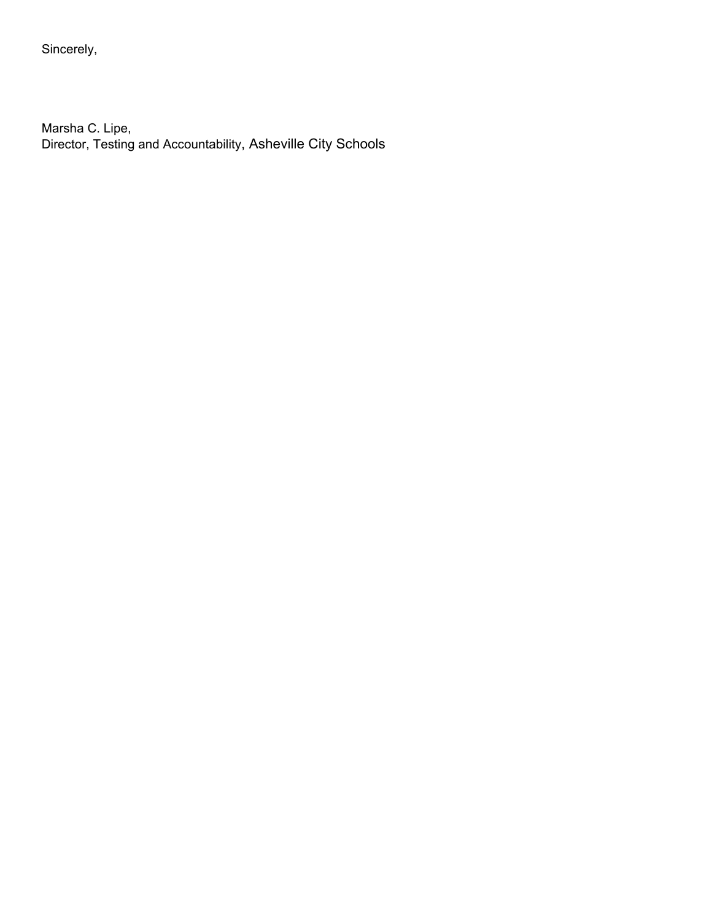Sincerely,

Marsha C. Lipe, Director, Testing and Accountability, Asheville City Schools